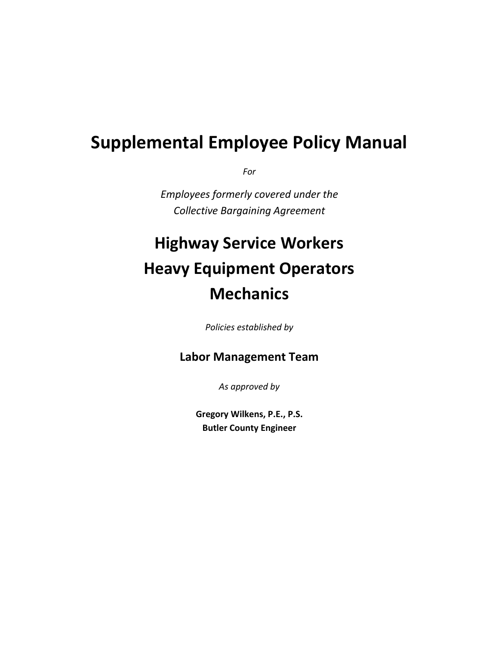## **Supplemental Employee Policy Manual**

*For*

*Employees formerly covered under the Collective Bargaining Agreement*

# **Highway Service Workers Heavy Equipment Operators Mechanics**

*Policies established by* 

## **Labor Management Team**

*As approved by*

**Gregory Wilkens, P.E., P.S. Butler County Engineer**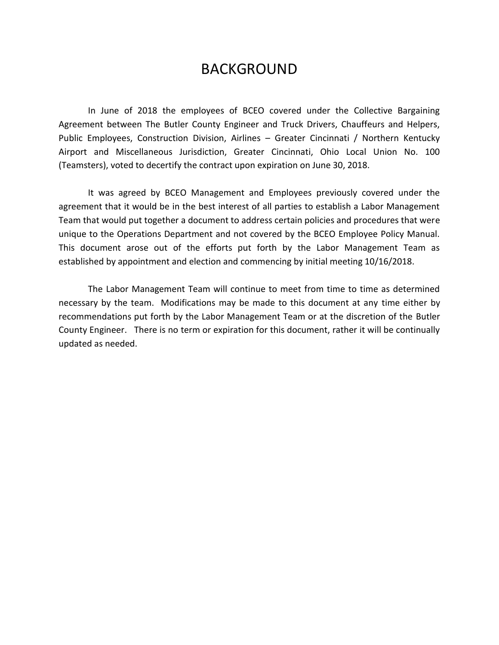## BACKGROUND

In June of 2018 the employees of BCEO covered under the Collective Bargaining Agreement between The Butler County Engineer and Truck Drivers, Chauffeurs and Helpers, Public Employees, Construction Division, Airlines – Greater Cincinnati / Northern Kentucky Airport and Miscellaneous Jurisdiction, Greater Cincinnati, Ohio Local Union No. 100 (Teamsters), voted to decertify the contract upon expiration on June 30, 2018.

It was agreed by BCEO Management and Employees previously covered under the agreement that it would be in the best interest of all parties to establish a Labor Management Team that would put together a document to address certain policies and procedures that were unique to the Operations Department and not covered by the BCEO Employee Policy Manual. This document arose out of the efforts put forth by the Labor Management Team as established by appointment and election and commencing by initial meeting 10/16/2018.

The Labor Management Team will continue to meet from time to time as determined necessary by the team. Modifications may be made to this document at any time either by recommendations put forth by the Labor Management Team or at the discretion of the Butler County Engineer. There is no term or expiration for this document, rather it will be continually updated as needed.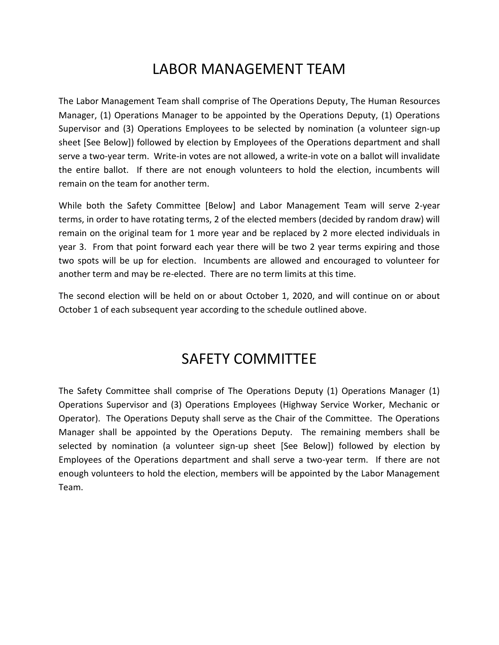## LABOR MANAGEMENT TEAM

The Labor Management Team shall comprise of The Operations Deputy, The Human Resources Manager, (1) Operations Manager to be appointed by the Operations Deputy, (1) Operations Supervisor and (3) Operations Employees to be selected by nomination (a volunteer sign-up sheet [See Below]) followed by election by Employees of the Operations department and shall serve a two-year term. Write-in votes are not allowed, a write-in vote on a ballot will invalidate the entire ballot. If there are not enough volunteers to hold the election, incumbents will remain on the team for another term.

While both the Safety Committee [Below] and Labor Management Team will serve 2-year terms, in order to have rotating terms, 2 of the elected members (decided by random draw) will remain on the original team for 1 more year and be replaced by 2 more elected individuals in year 3. From that point forward each year there will be two 2 year terms expiring and those two spots will be up for election. Incumbents are allowed and encouraged to volunteer for another term and may be re-elected. There are no term limits at this time.

The second election will be held on or about October 1, 2020, and will continue on or about October 1 of each subsequent year according to the schedule outlined above.

## SAFETY COMMITTEE

The Safety Committee shall comprise of The Operations Deputy (1) Operations Manager (1) Operations Supervisor and (3) Operations Employees (Highway Service Worker, Mechanic or Operator). The Operations Deputy shall serve as the Chair of the Committee. The Operations Manager shall be appointed by the Operations Deputy. The remaining members shall be selected by nomination (a volunteer sign-up sheet [See Below]) followed by election by Employees of the Operations department and shall serve a two-year term. If there are not enough volunteers to hold the election, members will be appointed by the Labor Management Team.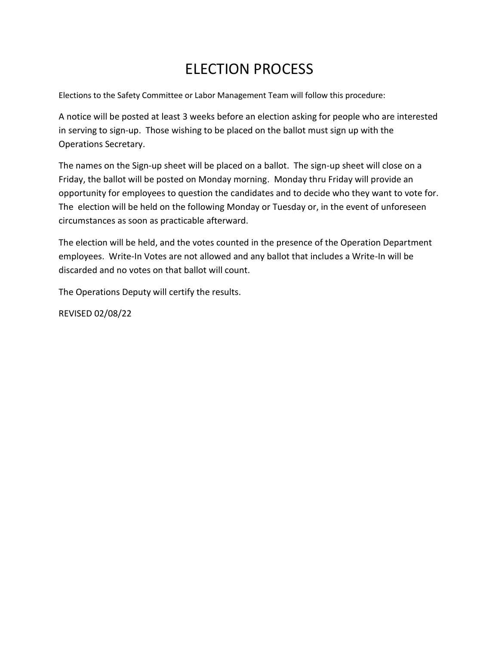## ELECTION PROCESS

Elections to the Safety Committee or Labor Management Team will follow this procedure:

A notice will be posted at least 3 weeks before an election asking for people who are interested in serving to sign-up. Those wishing to be placed on the ballot must sign up with the Operations Secretary.

The names on the Sign-up sheet will be placed on a ballot. The sign-up sheet will close on a Friday, the ballot will be posted on Monday morning. Monday thru Friday will provide an opportunity for employees to question the candidates and to decide who they want to vote for. The election will be held on the following Monday or Tuesday or, in the event of unforeseen circumstances as soon as practicable afterward.

The election will be held, and the votes counted in the presence of the Operation Department employees. Write-In Votes are not allowed and any ballot that includes a Write-In will be discarded and no votes on that ballot will count.

The Operations Deputy will certify the results.

REVISED 02/08/22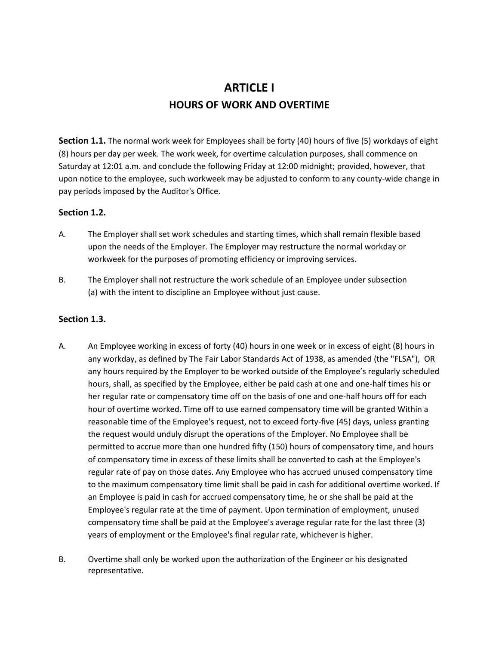## **ARTICLE I HOURS OF WORK AND OVERTIME**

**Section 1.1.** The normal work week for Employees shall be forty (40) hours of five (5) workdays of eight (8) hours per day per week. The work week, for overtime calculation purposes, shall commence on Saturday at 12:01 a.m. and conclude the following Friday at 12:00 midnight; provided, however, that upon notice to the employee, such workweek may be adjusted to conform to any county-wide change in pay periods imposed by the Auditor's Office.

#### **Section 1.2.**

- A. The Employer shall set work schedules and starting times, which shall remain flexible based upon the needs of the Employer. The Employer may restructure the normal workday or workweek for the purposes of promoting efficiency or improving services.
- B. The Employer shall not restructure the work schedule of an Employee under subsection (a) with the intent to discipline an Employee without just cause.

#### **Section 1.3.**

- A. An Employee working in excess of forty (40) hours in one week or in excess of eight (8) hours in any workday, as defined by The Fair Labor Standards Act of 1938, as amended (the "FLSA"), OR any hours required by the Employer to be worked outside of the Employee's regularly scheduled hours, shall, as specified by the Employee, either be paid cash at one and one-half times his or her regular rate or compensatory time off on the basis of one and one-half hours off for each hour of overtime worked. Time off to use earned compensatory time will be granted Within a reasonable time of the Employee's request, not to exceed forty-five (45) days, unless granting the request would unduly disrupt the operations of the Employer. No Employee shall be permitted to accrue more than one hundred fifty (150) hours of compensatory time, and hours of compensatory time in excess of these limits shall be converted to cash at the Employee's regular rate of pay on those dates. Any Employee who has accrued unused compensatory time to the maximum compensatory time limit shall be paid in cash for additional overtime worked. If an Employee is paid in cash for accrued compensatory time, he or she shall be paid at the Employee's regular rate at the time of payment. Upon termination of employment, unused compensatory time shall be paid at the Employee's average regular rate for the last three (3) years of employment or the Employee's final regular rate, whichever is higher.
- B. Overtime shall only be worked upon the authorization of the Engineer or his designated representative.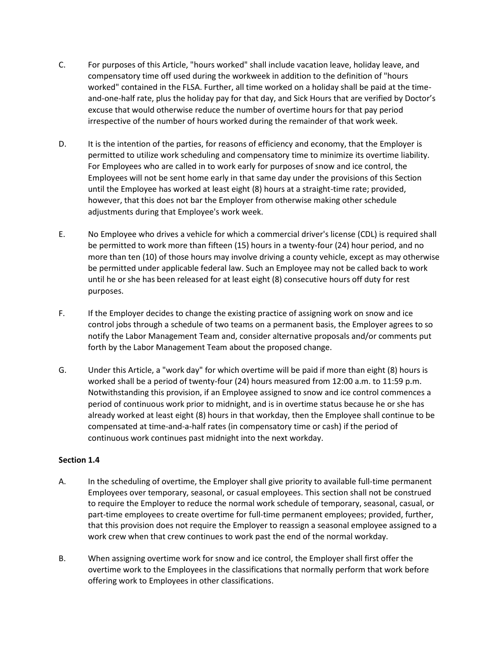- C. For purposes of this Article, "hours worked" shall include vacation leave, holiday leave, and compensatory time off used during the workweek in addition to the definition of "hours worked" contained in the FLSA. Further, all time worked on a holiday shall be paid at the timeand-one-half rate, plus the holiday pay for that day, and Sick Hours that are verified by Doctor's excuse that would otherwise reduce the number of overtime hours for that pay period irrespective of the number of hours worked during the remainder of that work week.
- D. It is the intention of the parties, for reasons of efficiency and economy, that the Employer is permitted to utilize work scheduling and compensatory time to minimize its overtime liability. For Employees who are called in to work early for purposes of snow and ice control, the Employees will not be sent home early in that same day under the provisions of this Section until the Employee has worked at least eight (8) hours at a straight-time rate; provided, however, that this does not bar the Employer from otherwise making other schedule adjustments during that Employee's work week.
- E. No Employee who drives a vehicle for which a commercial driver's license (CDL) is required shall be permitted to work more than fifteen (15) hours in a twenty-four (24) hour period, and no more than ten (10) of those hours may involve driving a county vehicle, except as may otherwise be permitted under applicable federal law. Such an Employee may not be called back to work until he or she has been released for at least eight (8) consecutive hours off duty for rest purposes.
- F. If the Employer decides to change the existing practice of assigning work on snow and ice control jobs through a schedule of two teams on a permanent basis, the Employer agrees to so notify the Labor Management Team and, consider alternative proposals and/or comments put forth by the Labor Management Team about the proposed change.
- G. Under this Article, a "work day" for which overtime will be paid if more than eight (8) hours is worked shall be a period of twenty-four (24) hours measured from 12:00 a.m. to 11:59 p.m. Notwithstanding this provision, if an Employee assigned to snow and ice control commences a period of continuous work prior to midnight, and is in overtime status because he or she has already worked at least eight (8) hours in that workday, then the Employee shall continue to be compensated at time-and-a-half rates (in compensatory time or cash) if the period of continuous work continues past midnight into the next workday.

#### **Section 1.4**

- A. In the scheduling of overtime, the Employer shall give priority to available full-time permanent Employees over temporary, seasonal, or casual employees. This section shall not be construed to require the Employer to reduce the normal work schedule of temporary, seasonal, casual, or part-time employees to create overtime for full-time permanent employees; provided, further, that this provision does not require the Employer to reassign a seasonal employee assigned to a work crew when that crew continues to work past the end of the normal workday.
- B. When assigning overtime work for snow and ice control, the Employer shall first offer the overtime work to the Employees in the classifications that normally perform that work before offering work to Employees in other classifications.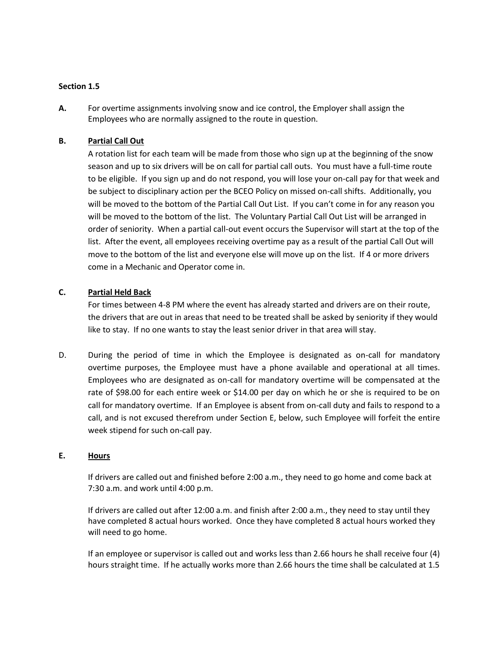#### **Section 1.5**

**A.** For overtime assignments involving snow and ice control, the Employer shall assign the Employees who are normally assigned to the route in question.

#### **B. Partial Call Out**

A rotation list for each team will be made from those who sign up at the beginning of the snow season and up to six drivers will be on call for partial call outs. You must have a full-time route to be eligible. If you sign up and do not respond, you will lose your on-call pay for that week and be subject to disciplinary action per the BCEO Policy on missed on-call shifts. Additionally, you will be moved to the bottom of the Partial Call Out List. If you can't come in for any reason you will be moved to the bottom of the list. The Voluntary Partial Call Out List will be arranged in order of seniority. When a partial call-out event occurs the Supervisor will start at the top of the list. After the event, all employees receiving overtime pay as a result of the partial Call Out will move to the bottom of the list and everyone else will move up on the list. If 4 or more drivers come in a Mechanic and Operator come in.

#### **C. Partial Held Back**

For times between 4-8 PM where the event has already started and drivers are on their route, the drivers that are out in areas that need to be treated shall be asked by seniority if they would like to stay. If no one wants to stay the least senior driver in that area will stay.

D. During the period of time in which the Employee is designated as on-call for mandatory overtime purposes, the Employee must have a phone available and operational at all times. Employees who are designated as on-call for mandatory overtime will be compensated at the rate of \$98.00 for each entire week or \$14.00 per day on which he or she is required to be on call for mandatory overtime. If an Employee is absent from on-call duty and fails to respond to a call, and is not excused therefrom under Section E, below, such Employee will forfeit the entire week stipend for such on-call pay.

#### **E. Hours**

If drivers are called out and finished before 2:00 a.m., they need to go home and come back at 7:30 a.m. and work until 4:00 p.m.

If drivers are called out after 12:00 a.m. and finish after 2:00 a.m., they need to stay until they have completed 8 actual hours worked. Once they have completed 8 actual hours worked they will need to go home.

If an employee or supervisor is called out and works less than 2.66 hours he shall receive four (4) hours straight time. If he actually works more than 2.66 hours the time shall be calculated at 1.5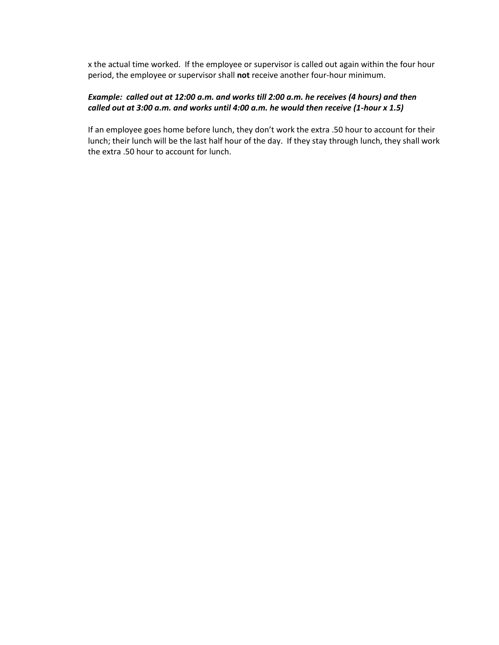x the actual time worked. If the employee or supervisor is called out again within the four hour period, the employee or supervisor shall **not** receive another four-hour minimum.

#### *Example: called out at 12:00 a.m. and works till 2:00 a.m. he receives (4 hours) and then called out at 3:00 a.m. and works until 4:00 a.m. he would then receive (1-hour x 1.5)*

If an employee goes home before lunch, they don't work the extra .50 hour to account for their lunch; their lunch will be the last half hour of the day. If they stay through lunch, they shall work the extra .50 hour to account for lunch.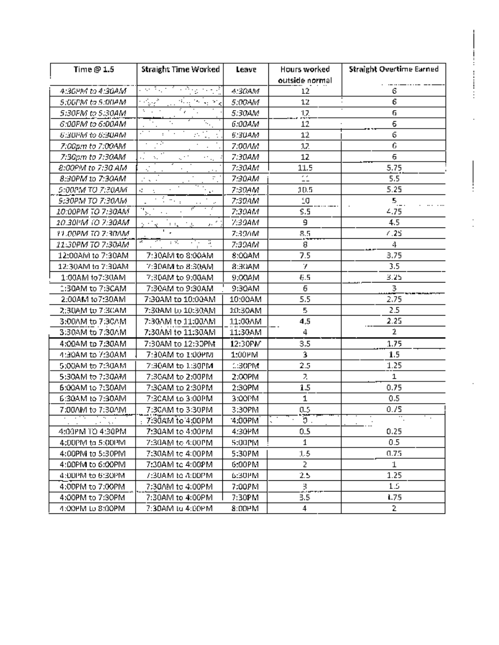| Time $@1.5$              | Straight Time Worked                                              | Leave    | Hours worked                | Straight Overtime Earned |
|--------------------------|-------------------------------------------------------------------|----------|-----------------------------|--------------------------|
|                          |                                                                   |          | outside normal              |                          |
| 4:30PM to 4:30AM         | a se Pajor C<br>r fysik                                           | 4:30AM   | 12                          | 6                        |
| 5:00PM to 5:00AM         | n Ger<br><sup>વા</sup> મ ખેતમજૂ                                   | 5:00AM   | 12                          | 6                        |
| 5:30PM to 5:30AM         | vojni s<br>ΥY.                                                    | 5:30AM   | 12                          | 6                        |
| 6:00PM to 6:00AM         | τ,                                                                | 6:00AM   | 12                          | 6                        |
| <b>SIGURAN to SIGUAM</b> | И.                                                                | 6:30AM   | 12                          | 6                        |
| 7:00pm to 7:00AM         | - 2                                                               | 7:00AM   | 12.                         | 6                        |
| 7:30pm to 7:30AM         | ъ.<br>ЦY.<br>$\mathcal{O}_{\mathcal{M}}$                          | 7:30AM   | 12                          | 6                        |
| 8:00PM to 7:30 AM        | Ć,                                                                | 7:30AM   | 11.5                        | 5.75                     |
| 8:30PM to 7:30AM         | ∵<br>Ziona di                                                     | 7:30AM   | ,,                          | 5.5                      |
| 5:00PM TO 7:30AM         | đ.<br>÷<br>e.                                                     | 7:30AM   | 10.5                        | 5.25                     |
| 5:30PM TO 7:30AM         | $\overline{\mathcal{C}_\infty}$ , $\overline{\mathcal{C}_\infty}$ | 7:30AM   | £Q                          | $5^{+}_{-}$              |
| 10:00PM TO 7:30AM        | $\mathcal{L} \rightarrow \mathcal{L}$                             | 7:30AM   | S.5                         | 4.75                     |
| 10.30PM TO 7:30AM        | $-2$ , $-2$ , $-2$<br>,,                                          | 7:39AM   | 9                           | 4.5                      |
| 11.00PM TO 7:30AM.       |                                                                   | 7:39/tM  | 8.5                         | 7.25                     |
| 11:30PM TO 7:30AM        | <b>CONTRACTOR</b><br>- 3<br>.                                     | 7:39AM   | 8                           | 4                        |
| 12:00AM to 7:30AM        | 7:30AM to 8:00AM                                                  | 8:00AM   | 7.5                         | 3.75                     |
| 12:30AM to 7:30AM        | 7:30AM to 8:30AM                                                  | MAG:8    | 7                           | 3.5                      |
| 1:00AM to7:30AM          | 7:30AM to 9:00AM                                                  | 9:00AM   | 6.5                         | 3.25                     |
| 1:30AM to 7:30AM         | 7:30AM to 9:30AM                                                  | 9:30AM   | 6                           | 3.                       |
| 2:00AM to 7:30AM         | 7:30AM to 10:00AM                                                 | 10:00AM  | 5.5                         | 2.75                     |
| 2:30AM to 7:30AM         | 7:30AM to 10:30AM                                                 | 1:0:30AM | 5                           | 2.5                      |
| 3:00AM to 7:30AM         | 7:30AM to 11:00AM                                                 | 11:00AM  | 4,5                         | 2.25                     |
| 3:30AM to 7:30AM         | 7:30AM to 11:30AM                                                 | 11:30AM  | 4                           | 2.                       |
| 4:00AM to 7:30AM         | 7:30AM to 12:30PM                                                 | 12:30PM  | 3,5                         | 1.75                     |
| 4:30AM to 7:30AM         | 7:30AM to 1:00PM                                                  | 1:00PM   | 3                           | 1.5                      |
| 5:00AM to 7:30AM         | 7:30AM to 1:30PM                                                  | 1:30PM   | 2.5                         | 1.25                     |
| 5:30AM to 7:30AM         | 7:30AM to 2:00PM                                                  | 2:00PM   | 2                           | 1                        |
| 6:00AM to 7:30AM         | 7:30AM to 2:30PM                                                  | 2:30PM   | 1.5                         | 0.75                     |
| 6:30AM to 7:30AM         | 7:30AM to 3:00PM                                                  | 3:00PM   | 1                           | 0.5                      |
| 7:00AM to 7:30AM         | 7:30AM to 3:30PM                                                  | 3:30PM   | α.5                         | 0.75                     |
| and the                  | 7:30AM to 4:00PM                                                  | 4:00PM   | $\overline{\mathfrak{d}}$ . |                          |
| 4:00PM TO 4:30PM         | 7:30AM to 4:00PM                                                  | 4:30PM   | 0.5                         | 0.25                     |
| 4:00PM to 5:00PM         | 7:30AM to 4:00PM                                                  | 5:00PM   | 1                           | 0.5 <sub>1</sub>         |
| 4:00PM to 5:30PM         | 7:30AM to 4:00PM                                                  | 5:30PM   | 1.5                         | 0.75                     |
| 4:00PM to 6:00PM         | 7:30AM to 4:00PM                                                  | 6:00PM   | 2                           | 1                        |
| 4:00PM to 6:30PM         | 7:30AM to 4:00PM                                                  | 6:30PM   | 2.5                         | 1.25                     |
| 4:00PM to 7:00PM         | 7:30AM to 4:00PM                                                  | 7:00PM   | 3.<br>                      | 1.5                      |
| 4:00PM to 7:30PM         | 7:30AM to 4:00PM                                                  | 7:30PM   | 3.5                         | 1.75                     |
| 4:00PM to 8:00PM         | 7:30AM to 4:00PM                                                  | 8:00PM   | 4                           | 2.                       |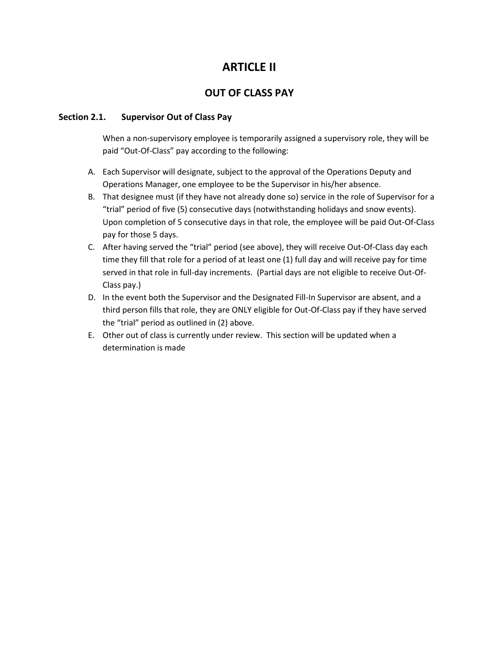### **ARTICLE II**

### **OUT OF CLASS PAY**

#### **Section 2.1. Supervisor Out of Class Pay**

When a non-supervisory employee is temporarily assigned a supervisory role, they will be paid "Out-Of-Class" pay according to the following:

- A. Each Supervisor will designate, subject to the approval of the Operations Deputy and Operations Manager, one employee to be the Supervisor in his/her absence.
- B. That designee must (if they have not already done so) service in the role of Supervisor for a "trial" period of five (5) consecutive days (notwithstanding holidays and snow events). Upon completion of 5 consecutive days in that role, the employee will be paid Out-Of-Class pay for those 5 days.
- C. After having served the "trial" period (see above), they will receive Out-Of-Class day each time they fill that role for a period of at least one (1) full day and will receive pay for time served in that role in full-day increments. (Partial days are not eligible to receive Out-Of-Class pay.)
- D. In the event both the Supervisor and the Designated Fill-In Supervisor are absent, and a third person fills that role, they are ONLY eligible for Out-Of-Class pay if they have served the "trial" period as outlined in (2) above.
- E. Other out of class is currently under review. This section will be updated when a determination is made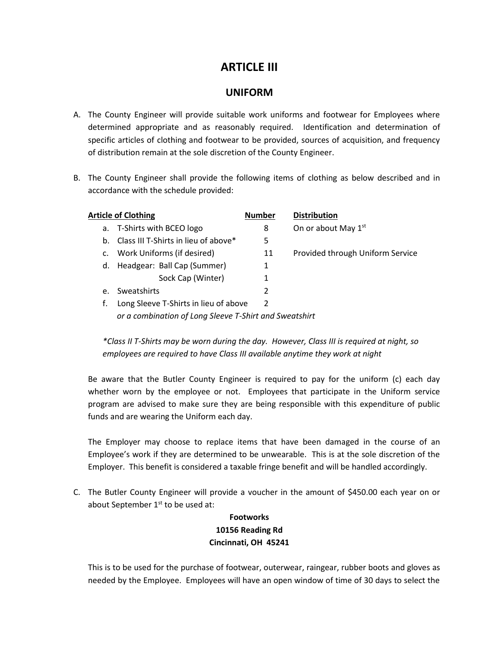### **ARTICLE III**

#### **UNIFORM**

- A. The County Engineer will provide suitable work uniforms and footwear for Employees where determined appropriate and as reasonably required. Identification and determination of specific articles of clothing and footwear to be provided, sources of acquisition, and frequency of distribution remain at the sole discretion of the County Engineer.
- B. The County Engineer shall provide the following items of clothing as below described and in accordance with the schedule provided:

| <b>Article of Clothing</b> |                                                        | <b>Number</b> | <b>Distribution</b>              |
|----------------------------|--------------------------------------------------------|---------------|----------------------------------|
|                            | a. T-Shirts with BCEO logo                             | 8             | On or about May 1 <sup>st</sup>  |
|                            | b. Class III T-Shirts in lieu of above*                | 5             |                                  |
| c.                         | Work Uniforms (if desired)                             | 11            | Provided through Uniform Service |
|                            | d. Headgear: Ball Cap (Summer)                         | 1             |                                  |
|                            | Sock Cap (Winter)                                      | 1             |                                  |
| e.                         | Sweatshirts                                            | $\mathcal{P}$ |                                  |
|                            | Long Sleeve T-Shirts in lieu of above                  | $\mathcal{P}$ |                                  |
|                            | or a combination of Long Sleeve T-Shirt and Sweatshirt |               |                                  |

*\*Class II T-Shirts may be worn during the day. However, Class III is required at night, so employees are required to have Class III available anytime they work at night* 

Be aware that the Butler County Engineer is required to pay for the uniform (c) each day whether worn by the employee or not. Employees that participate in the Uniform service program are advised to make sure they are being responsible with this expenditure of public funds and are wearing the Uniform each day.

The Employer may choose to replace items that have been damaged in the course of an Employee's work if they are determined to be unwearable. This is at the sole discretion of the Employer. This benefit is considered a taxable fringe benefit and will be handled accordingly.

C. The Butler County Engineer will provide a voucher in the amount of \$450.00 each year on or about September  $1<sup>st</sup>$  to be used at:

### **Footworks 10156 Reading Rd Cincinnati, OH 45241**

This is to be used for the purchase of footwear, outerwear, raingear, rubber boots and gloves as needed by the Employee. Employees will have an open window of time of 30 days to select the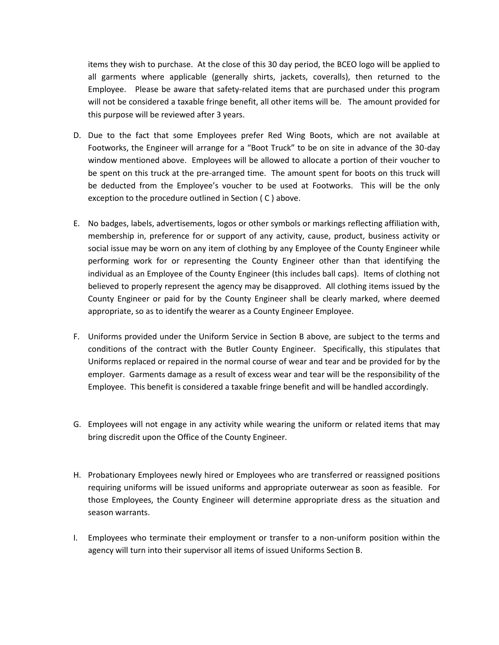items they wish to purchase. At the close of this 30 day period, the BCEO logo will be applied to all garments where applicable (generally shirts, jackets, coveralls), then returned to the Employee. Please be aware that safety-related items that are purchased under this program will not be considered a taxable fringe benefit, all other items will be. The amount provided for this purpose will be reviewed after 3 years.

- D. Due to the fact that some Employees prefer Red Wing Boots, which are not available at Footworks, the Engineer will arrange for a "Boot Truck" to be on site in advance of the 30-day window mentioned above. Employees will be allowed to allocate a portion of their voucher to be spent on this truck at the pre-arranged time. The amount spent for boots on this truck will be deducted from the Employee's voucher to be used at Footworks. This will be the only exception to the procedure outlined in Section ( C ) above.
- E. No badges, labels, advertisements, logos or other symbols or markings reflecting affiliation with, membership in, preference for or support of any activity, cause, product, business activity or social issue may be worn on any item of clothing by any Employee of the County Engineer while performing work for or representing the County Engineer other than that identifying the individual as an Employee of the County Engineer (this includes ball caps). Items of clothing not believed to properly represent the agency may be disapproved. All clothing items issued by the County Engineer or paid for by the County Engineer shall be clearly marked, where deemed appropriate, so as to identify the wearer as a County Engineer Employee.
- F. Uniforms provided under the Uniform Service in Section B above, are subject to the terms and conditions of the contract with the Butler County Engineer. Specifically, this stipulates that Uniforms replaced or repaired in the normal course of wear and tear and be provided for by the employer. Garments damage as a result of excess wear and tear will be the responsibility of the Employee. This benefit is considered a taxable fringe benefit and will be handled accordingly.
- G. Employees will not engage in any activity while wearing the uniform or related items that may bring discredit upon the Office of the County Engineer.
- H. Probationary Employees newly hired or Employees who are transferred or reassigned positions requiring uniforms will be issued uniforms and appropriate outerwear as soon as feasible. For those Employees, the County Engineer will determine appropriate dress as the situation and season warrants.
- I. Employees who terminate their employment or transfer to a non-uniform position within the agency will turn into their supervisor all items of issued Uniforms Section B.